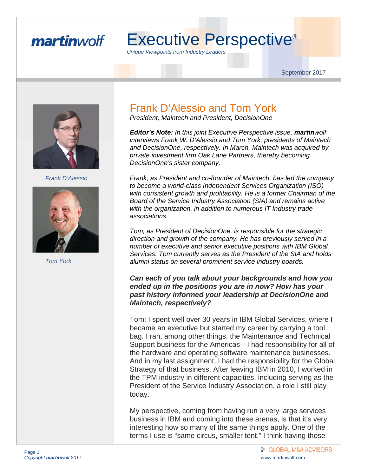#### martinwolf

# Executive Perspective®

*Unique Viewpoints from Industry Leaders* 

September 2017



 *Frank D'Alessio* 



 *Tom York* 

#### Frank D'Alessio and Tom York

*President, Maintech and President, DecisionOne* 

*Editor's Note: In this joint Executive Perspective issue, martinwolf interviews Frank W. D'Alessio and Tom York, presidents of Maintech and DecisionOne, respectively. In March, Maintech was acquired by private investment firm Oak Lane Partners, thereby becoming DecisionOne's sister company.* 

*Frank, as President and co-founder of Maintech, has led the company to become a world-class Independent Services Organization (ISO) with consistent growth and profitability. He is a former Chairman of the Board of the Service Industry Association (SIA) and remains active with the organization, in addition to numerous IT Industry trade associations.* 

*Tom, as President of DecisionOne, is responsible for the strategic direction and growth of the company. He has previously served in a number of executive and senior executive positions with IBM Global Services. Tom currently serves as the President of the SIA and holds alumni status on several prominent service industry boards.* 

#### *Can each of you talk about your backgrounds and how you ended up in the positions you are in now? How has your past history informed your leadership at DecisionOne and Maintech, respectively?*

Tom: I spent well over 30 years in IBM Global Services, where I became an executive but started my career by carrying a tool bag. I ran, among other things, the Maintenance and Technical Support business for the Americas—I had responsibility for all of the hardware and operating software maintenance businesses. And in my last assignment, I had the responsibility for the Global Strategy of that business. After leaving IBM in 2010, I worked in the TPM industry in different capacities, including serving as the President of the Service Industry Association, a role I still play today.

My perspective, coming from having run a very large services business in IBM and coming into these arenas, is that it's very interesting how so many of the same things apply. One of the terms I use is "same circus, smaller tent." I think having those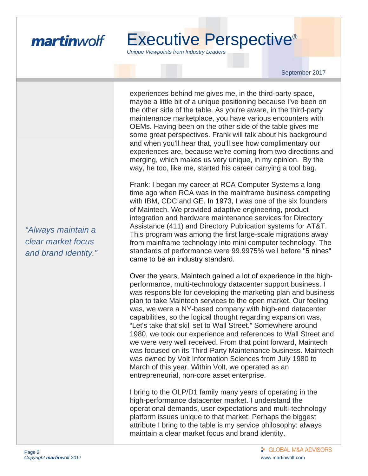

*Unique Viewpoints from Industry Leaders* 

September 2017

experiences behind me gives me, in the third-party space, maybe a little bit of a unique positioning because I've been on the other side of the table. As you're aware, in the third-party maintenance marketplace, you have various encounters with OEMs. Having been on the other side of the table gives me some great perspectives. Frank will talk about his background and when you'll hear that, you'll see how complimentary our experiences are, because we're coming from two directions and merging, which makes us very unique, in my opinion. By the way, he too, like me, started his career carrying a tool bag.

Frank: I began my career at RCA Computer Systems a long time ago when RCA was in the mainframe business competing with IBM, CDC and GE. In 1973, I was one of the six founders of Maintech. We provided adaptive engineering, product integration and hardware maintenance services for Directory Assistance (411) and Directory Publication systems for AT&T. This program was among the first large-scale migrations away from mainframe technology into mini computer technology. The standards of performance were 99.9975% well before "5 nines" came to be an industry standard.

Over the years, Maintech gained a lot of experience in the highperformance, multi-technology datacenter support business. I was responsible for developing the marketing plan and business plan to take Maintech services to the open market. Our feeling was, we were a NY-based company with high-end datacenter capabilities, so the logical thought regarding expansion was, "Let's take that skill set to Wall Street." Somewhere around 1980, we took our experience and references to Wall Street and we were very well received. From that point forward, Maintech was focused on its Third-Party Maintenance business. Maintech was owned by Volt Information Sciences from July 1980 to March of this year. Within Volt, we operated as an entrepreneurial, non-core asset enterprise.

I bring to the OLP/D1 family many years of operating in the high-performance datacenter market. I understand the operational demands, user expectations and multi-technology platform issues unique to that market. Perhaps the biggest attribute I bring to the table is my service philosophy: always maintain a clear market focus and brand identity.

*"Always maintain a clear market focus and brand identity."*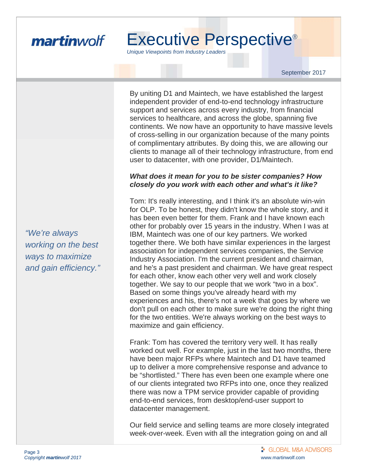

*Unique Viewpoints from Industry Leaders* 

September 2017

By uniting D1 and Maintech, we have established the largest independent provider of end-to-end technology infrastructure support and services across every industry, from financial services to healthcare, and across the globe, spanning five continents. We now have an opportunity to have massive levels of cross-selling in our organization because of the many points of complimentary attributes. By doing this, we are allowing our clients to manage all of their technology infrastructure, from end user to datacenter, with one provider, D1/Maintech.

#### *What does it mean for you to be sister companies? How closely do you work with each other and what's it like?*

Tom: It's really interesting, and I think it's an absolute win-win for OLP. To be honest, they didn't know the whole story, and it has been even better for them. Frank and I have known each other for probably over 15 years in the industry. When I was at IBM, Maintech was one of our key partners. We worked together there. We both have similar experiences in the largest association for independent services companies, the Service Industry Association. I'm the current president and chairman, and he's a past president and chairman. We have great respect for each other, know each other very well and work closely together. We say to our people that we work "two in a box". Based on some things you've already heard with my experiences and his, there's not a week that goes by where we don't pull on each other to make sure we're doing the right thing for the two entities. We're always working on the best ways to maximize and gain efficiency.

Frank: Tom has covered the territory very well. It has really worked out well. For example, just in the last two months, there have been major RFPs where Maintech and D1 have teamed up to deliver a more comprehensive response and advance to be "shortlisted." There has even been one example where one of our clients integrated two RFPs into one, once they realized there was now a TPM service provider capable of providing end-to-end services, from desktop/end-user support to datacenter management.

Our field service and selling teams are more closely integrated week-over-week. Even with all the integration going on and all

*"We're always working on the best ways to maximize and gain efficiency."*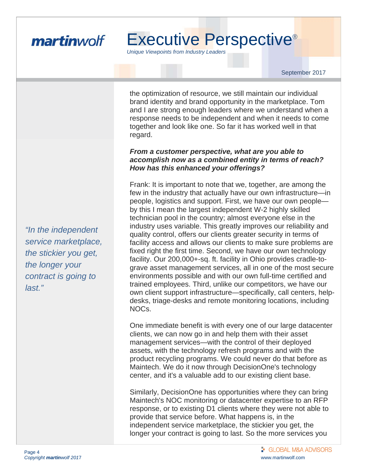

*Unique Viewpoints from Industry Leaders* 

September 2017

the optimization of resource, we still maintain our individual brand identity and brand opportunity in the marketplace. Tom and I are strong enough leaders where we understand when a response needs to be independent and when it needs to come together and look like one. So far it has worked well in that regard.

#### *From a customer perspective, what are you able to accomplish now as a combined entity in terms of reach? How has this enhanced your offerings?*

Frank: It is important to note that we, together, are among the few in the industry that actually have our own infrastructure—in people, logistics and support. First, we have our own people by this I mean the largest independent W-2 highly skilled technician pool in the country; almost everyone else in the industry uses variable. This greatly improves our reliability and quality control, offers our clients greater security in terms of facility access and allows our clients to make sure problems are fixed right the first time. Second, we have our own technology facility. Our 200,000+-sq. ft. facility in Ohio provides cradle-tograve asset management services, all in one of the most secure environments possible and with our own full-time certified and trained employees. Third, unlike our competitors, we have our own client support infrastructure—specifically, call centers, helpdesks, triage-desks and remote monitoring locations, including NOCs.

One immediate benefit is with every one of our large datacenter clients, we can now go in and help them with their asset management services—with the control of their deployed assets, with the technology refresh programs and with the product recycling programs. We could never do that before as Maintech. We do it now through DecisionOne's technology center, and it's a valuable add to our existing client base.

Similarly, DecisionOne has opportunities where they can bring Maintech's NOC monitoring or datacenter expertise to an RFP response, or to existing D1 clients where they were not able to provide that service before. What happens is, in the independent service marketplace, the stickier you get, the longer your contract is going to last. So the more services you

*"In the independent service marketplace, the stickier you get, the longer your contract is going to last."*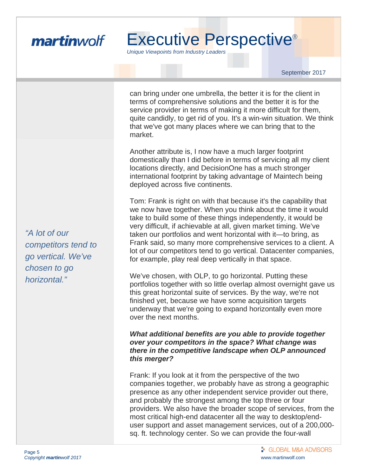

*Unique Viewpoints from Industry Leaders* 

September 2017

can bring under one umbrella, the better it is for the client in terms of comprehensive solutions and the better it is for the service provider in terms of making it more difficult for them, quite candidly, to get rid of you. It's a win-win situation. We think that we've got many places where we can bring that to the market.

Another attribute is, I now have a much larger footprint domestically than I did before in terms of servicing all my client locations directly, and DecisionOne has a much stronger international footprint by taking advantage of Maintech being deployed across five continents.

Tom: Frank is right on with that because it's the capability that we now have together. When you think about the time it would take to build some of these things independently, it would be very difficult, if achievable at all, given market timing. We've taken our portfolios and went horizontal with it—to bring, as Frank said, so many more comprehensive services to a client. A lot of our competitors tend to go vertical. Datacenter companies, for example, play real deep vertically in that space.

We've chosen, with OLP, to go horizontal. Putting these portfolios together with so little overlap almost overnight gave us this great horizontal suite of services. By the way, we're not finished yet, because we have some acquisition targets underway that we're going to expand horizontally even more over the next months.

#### *What additional benefits are you able to provide together over your competitors in the space? What change was there in the competitive landscape when OLP announced this merger?*

Frank: If you look at it from the perspective of the two companies together, we probably have as strong a geographic presence as any other independent service provider out there, and probably the strongest among the top three or four providers. We also have the broader scope of services, from the most critical high-end datacenter all the way to desktop/enduser support and asset management services, out of a 200,000 sq. ft. technology center. So we can provide the four-wall

*"A lot of our competitors tend to go vertical. We've chosen to go horizontal."*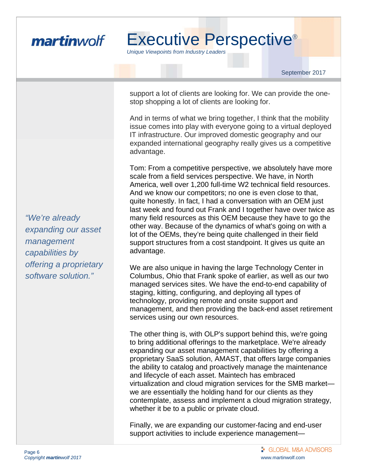

*Unique Viewpoints from Industry Leaders* 

September 2017

support a lot of clients are looking for. We can provide the onestop shopping a lot of clients are looking for.

And in terms of what we bring together, I think that the mobility issue comes into play with everyone going to a virtual deployed IT infrastructure. Our improved domestic geography and our expanded international geography really gives us a competitive advantage.

Tom: From a competitive perspective, we absolutely have more scale from a field services perspective. We have, in North America, well over 1,200 full-time W2 technical field resources. And we know our competitors; no one is even close to that, quite honestly. In fact, I had a conversation with an OEM just last week and found out Frank and I together have over twice as many field resources as this OEM because they have to go the other way. Because of the dynamics of what's going on with a lot of the OEMs, they're being quite challenged in their field support structures from a cost standpoint. It gives us quite an advantage.

We are also unique in having the large Technology Center in Columbus, Ohio that Frank spoke of earlier, as well as our two managed services sites. We have the end-to-end capability of staging, kitting, configuring, and deploying all types of technology, providing remote and onsite support and management, and then providing the back-end asset retirement services using our own resources.

The other thing is, with OLP's support behind this, we're going to bring additional offerings to the marketplace. We're already expanding our asset management capabilities by offering a proprietary SaaS solution, AMAST, that offers large companies the ability to catalog and proactively manage the maintenance and lifecycle of each asset. Maintech has embraced virtualization and cloud migration services for the SMB market we are essentially the holding hand for our clients as they contemplate, assess and implement a cloud migration strategy, whether it be to a public or private cloud.

Finally, we are expanding our customer-facing and end-user support activities to include experience management—

*"We're already expanding our asset management capabilities by offering a proprietary software solution."*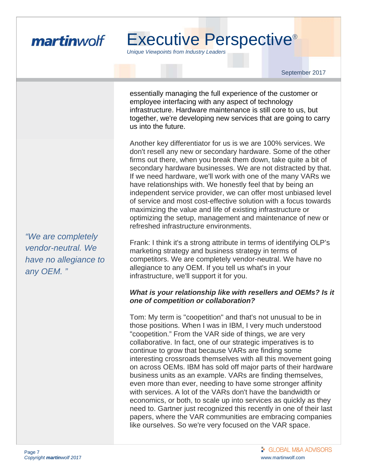

*Unique Viewpoints from Industry Leaders* 

September 2017

essentially managing the full experience of the customer or employee interfacing with any aspect of technology infrastructure. Hardware maintenance is still core to us, but together, we're developing new services that are going to carry us into the future.

Another key differentiator for us is we are 100% services. We don't resell any new or secondary hardware. Some of the other firms out there, when you break them down, take quite a bit of secondary hardware businesses. We are not distracted by that. If we need hardware, we'll work with one of the many VARs we have relationships with. We honestly feel that by being an independent service provider, we can offer most unbiased level of service and most cost-effective solution with a focus towards maximizing the value and life of existing infrastructure or optimizing the setup, management and maintenance of new or refreshed infrastructure environments.

Frank: I think it's a strong attribute in terms of identifying OLP's marketing strategy and business strategy in terms of competitors. We are completely vendor-neutral. We have no allegiance to any OEM. If you tell us what's in your infrastructure, we'll support it for you.

#### *What is your relationship like with resellers and OEMs? Is it one of competition or collaboration?*

Tom: My term is "coopetition" and that's not unusual to be in those positions. When I was in IBM, I very much understood "coopetition." From the VAR side of things, we are very collaborative. In fact, one of our strategic imperatives is to continue to grow that because VARs are finding some interesting crossroads themselves with all this movement going on across OEMs. IBM has sold off major parts of their hardware business units as an example. VARs are finding themselves, even more than ever, needing to have some stronger affinity with services. A lot of the VARs don't have the bandwidth or economics, or both, to scale up into services as quickly as they need to. Gartner just recognized this recently in one of their last papers, where the VAR communities are embracing companies like ourselves. So we're very focused on the VAR space.

*"We are completely vendor-neutral. We have no allegiance to any OEM. "*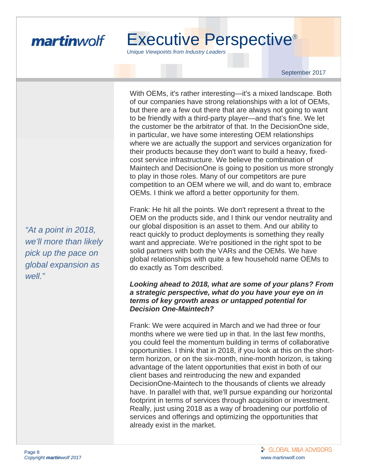

*Unique Viewpoints from Industry Leaders* 

September 2017

With OEMs, it's rather interesting—it's a mixed landscape. Both of our companies have strong relationships with a lot of OEMs, but there are a few out there that are always not going to want to be friendly with a third-party player—and that's fine. We let the customer be the arbitrator of that. In the DecisionOne side, in particular, we have some interesting OEM relationships where we are actually the support and services organization for their products because they don't want to build a heavy, fixedcost service infrastructure. We believe the combination of Maintech and DecisionOne is going to position us more strongly to play in those roles. Many of our competitors are pure competition to an OEM where we will, and do want to, embrace OEMs. I think we afford a better opportunity for them.

Frank: He hit all the points. We don't represent a threat to the OEM on the products side, and I think our vendor neutrality and our global disposition is an asset to them. And our ability to react quickly to product deployments is something they really want and appreciate. We're positioned in the right spot to be solid partners with both the VARs and the OEMs. We have global relationships with quite a few household name OEMs to do exactly as Tom described.

#### *Looking ahead to 2018, what are some of your plans? From a strategic perspective, what do you have your eye on in terms of key growth areas or untapped potential for Decision One-Maintech?*

Frank: We were acquired in March and we had three or four months where we were tied up in that. In the last few months, you could feel the momentum building in terms of collaborative opportunities. I think that in 2018, if you look at this on the shortterm horizon, or on the six-month, nine-month horizon, is taking advantage of the latent opportunities that exist in both of our client bases and reintroducing the new and expanded DecisionOne-Maintech to the thousands of clients we already have. In parallel with that, we'll pursue expanding our horizontal footprint in terms of services through acquisition or investment. Really, just using 2018 as a way of broadening our portfolio of services and offerings and optimizing the opportunities that already exist in the market.

*"At a point in 2018, we'll more than likely pick up the pace on global expansion as well."*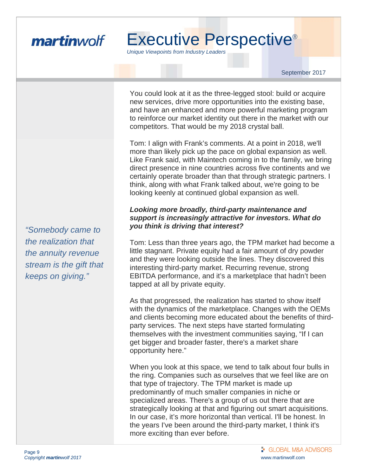

*Unique Viewpoints from Industry Leaders* 

September 2017

You could look at it as the three-legged stool: build or acquire new services, drive more opportunities into the existing base, and have an enhanced and more powerful marketing program to reinforce our market identity out there in the market with our competitors. That would be my 2018 crystal ball.

Tom: I align with Frank's comments. At a point in 2018, we'll more than likely pick up the pace on global expansion as well. Like Frank said, with Maintech coming in to the family, we bring direct presence in nine countries across five continents and we certainly operate broader than that through strategic partners. I think, along with what Frank talked about, we're going to be looking keenly at continued global expansion as well.

#### *Looking more broadly, third-party maintenance and support is increasingly attractive for investors. What do you think is driving that interest?*

Tom: Less than three years ago, the TPM market had become a little stagnant. Private equity had a fair amount of dry powder and they were looking outside the lines. They discovered this interesting third-party market. Recurring revenue, strong EBITDA performance, and it's a marketplace that hadn't been tapped at all by private equity.

As that progressed, the realization has started to show itself with the dynamics of the marketplace. Changes with the OEMs and clients becoming more educated about the benefits of thirdparty services. The next steps have started formulating themselves with the investment communities saying, "If I can get bigger and broader faster, there's a market share opportunity here."

When you look at this space, we tend to talk about four bulls in the ring. Companies such as ourselves that we feel like are on that type of trajectory. The TPM market is made up predominantly of much smaller companies in niche or specialized areas. There's a group of us out there that are strategically looking at that and figuring out smart acquisitions. In our case, it's more horizontal than vertical. I'll be honest. In the years I've been around the third-party market, I think it's more exciting than ever before.

*"Somebody came to the realization that the annuity revenue stream is the gift that keeps on giving."*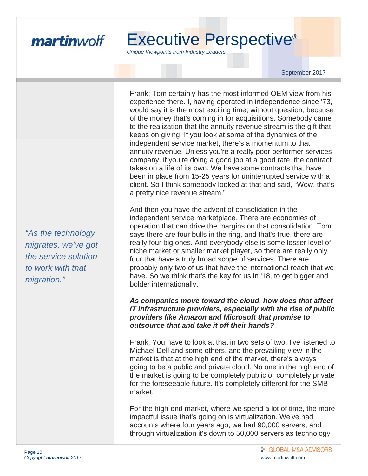

*Unique Viewpoints from Industry Leaders* 

September 2017

Frank: Tom certainly has the most informed OEM view from his experience there. I, having operated in independence since '73, would say it is the most exciting time, without question, because of the money that's coming in for acquisitions. Somebody came to the realization that the annuity revenue stream is the gift that keeps on giving. If you look at some of the dynamics of the independent service market, there's a momentum to that annuity revenue. Unless you're a really poor performer services company, if you're doing a good job at a good rate, the contract takes on a life of its own. We have some contracts that have been in place from 15-25 years for uninterrupted service with a client. So I think somebody looked at that and said, "Wow, that's a pretty nice revenue stream."

And then you have the advent of consolidation in the independent service marketplace. There are economies of operation that can drive the margins on that consolidation. Tom says there are four bulls in the ring, and that's true, there are really four big ones. And everybody else is some lesser level of niche market or smaller market player, so there are really only four that have a truly broad scope of services. There are probably only two of us that have the international reach that we have. So we think that's the key for us in '18, to get bigger and bolder internationally.

#### *As companies move toward the cloud, how does that affect IT infrastructure providers, especially with the rise of public providers like Amazon and Microsoft that promise to outsource that and take it off their hands?*

Frank: You have to look at that in two sets of two. I've listened to Michael Dell and some others, and the prevailing view in the market is that at the high end of the market, there's always going to be a public and private cloud. No one in the high end of the market is going to be completely public or completely private for the foreseeable future. It's completely different for the SMB market.

For the high-end market, where we spend a lot of time, the more impactful issue that's going on is virtualization. We've had accounts where four years ago, we had 90,000 servers, and through virtualization it's down to 50,000 servers as technology

*"As the technology migrates, we've got the service solution to work with that migration."*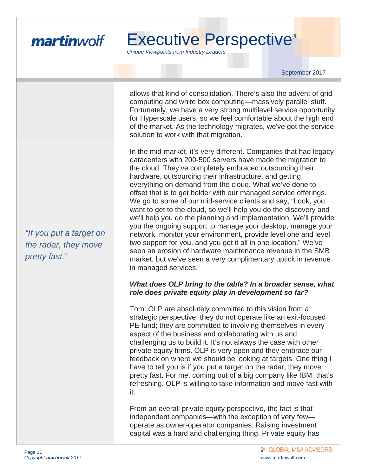

*Unique Viewpoints from Industry Leaders* 

September 2017

allows that kind of consolidation. There's also the advent of grid computing and white box computing—massively parallel stuff. Fortunately, we have a very strong multilevel service opportunity for Hyperscale users, so we feel comfortable about the high end of the market. As the technology migrates, we've got the service solution to work with that migration.

In the mid-market, it's very different. Companies that had legacy datacenters with 200-500 servers have made the migration to the cloud. They've completely embraced outsourcing their hardware, outsourcing their infrastructure, and getting everything on demand from the cloud. What we've done to offset that is to get bolder with our managed service offerings. We go to some of our mid-service clients and say, "Look, you want to get to the cloud, so we'll help you do the discovery and we'll help you do the planning and implementation. We'll provide you the ongoing support to manage your desktop, manage your network, monitor your environment, provide level one and level two support for you, and you get it all in one location." We've seen an erosion of hardware maintenance revenue in the SMB market, but we've seen a very complimentary uptick in revenue in managed services.

#### *What does OLP bring to the table? In a broader sense, what role does private equity play in development so far?*

Tom: OLP are absolutely committed to this vision from a strategic perspective; they do not operate like an exit-focused PE fund; they are committed to involving themselves in every aspect of the business and collaborating with us and challenging us to build it. It's not always the case with other private equity firms. OLP is very open and they embrace our feedback on where we should be looking at targets. One thing I have to tell you is if you put a target on the radar, they move pretty fast. For me, coming out of a big company like IBM, that's refreshing. OLP is willing to take information and move fast with it.

From an overall private equity perspective, the fact is that independent companies—with the exception of very few operate as owner-operator companies. Raising investment capital was a hard and challenging thing. Private equity has

*"If you put a target on the radar, they move pretty fast."*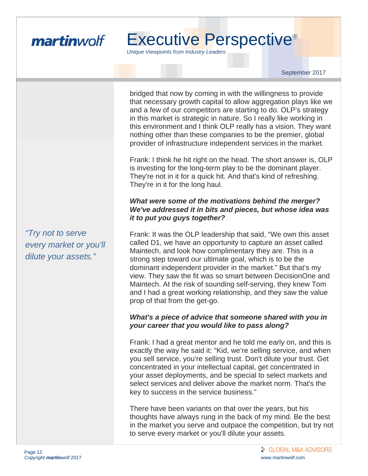

*Unique Viewpoints from Industry Leaders* 

September 2017

bridged that now by coming in with the willingness to provide that necessary growth capital to allow aggregation plays like we and a few of our competitors are starting to do. OLP's strategy in this market is strategic in nature. So I really like working in this environment and I think OLP really has a vision. They want nothing other than these companies to be the premier, global provider of infrastructure independent services in the market.

Frank: I think he hit right on the head. The short answer is, OLP is investing for the long-term play to be the dominant player. They're not in it for a quick hit. And that's kind of refreshing. They're in it for the long haul.

#### *What were some of the motivations behind the merger? We've addressed it in bits and pieces, but whose idea was it to put you guys together?*

Frank: It was the OLP leadership that said, "We own this asset called D1, we have an opportunity to capture an asset called Maintech, and look how complimentary they are. This is a strong step toward our ultimate goal, which is to be the dominant independent provider in the market." But that's my view. They saw the fit was so smart between DecisionOne and Maintech. At the risk of sounding self-serving, they knew Tom and I had a great working relationship, and they saw the value prop of that from the get-go.

#### *What's a piece of advice that someone shared with you in your career that you would like to pass along?*

Frank: I had a great mentor and he told me early on, and this is exactly the way he said it: "Kid, we're selling service, and when you sell service, you're selling trust. Don't dilute your trust. Get concentrated in your intellectual capital, get concentrated in your asset deployments, and be special to select markets and select services and deliver above the market norm. That's the key to success in the service business."

There have been variants on that over the years, but his thoughts have always rung in the back of my mind. Be the best in the market you serve and outpace the competition, but try not to serve every market or you'll dilute your assets.

*"Try not to serve every market or you'll dilute your assets."*